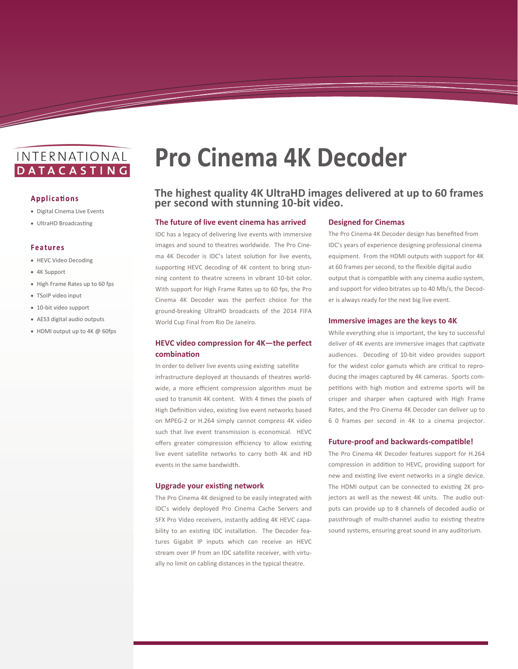# INTERNATIONAL **DATACASTING**

#### **Applications**

- Digital Cinema Live Events
- UltraHD Broadcasting

#### **Features**

- HEVC Video Decoding
- 4K Support
- High Frame Rates up to 60 fps
- TSoIP video input
- 10-bit video support
- AES3 digital audio outputs
- HDMI output up to 4K @ 60fps

# **Pro Cinema 4K Decoder**

# **The highest quality 4K UltraHD images delivered at up to 60 frames per second with stunning 10-bit video.**

## **The future of live event cinema has arrived**

IDC has a legacy of delivering live events with immersive images and sound to theatres worldwide. The Pro Cinema 4K Decoder is IDC's latest solution for live events, supporting HEVC decoding of 4K content to bring stunning content to theatre screens in vibrant 10-bit color. With support for High Frame Rates up to 60 fps, the Pro Cinema 4K Decoder was the perfect choice for the ground-breaking UltraHD broadcasts of the 2014 FIFA World Cup Final from Rio De Janeiro.

# **HEVC video compression for 4K—the perfect combination**

In order to deliver live events using existing satellite infrastructure deployed at thousands of theatres worldwide, a more efficient compression algorithm must be used to transmit 4K content. With 4 times the pixels of High Definition video, existing live event networks based on MPEG-2 or H.264 simply cannot compress 4K video such that live event transmission is economical. HEVC offers greater compression efficiency to allow existing live event satellite networks to carry both 4K and HD events in the same bandwidth.

#### **Upgrade your existing network**

The Pro Cinema 4K designed to be easily integrated with IDC's widely deployed Pro Cinema Cache Servers and SFX Pro Video receivers, instantly adding 4K HEVC capability to an existing IDC installation. The Decoder features Gigabit IP inputs which can receive an HEVC stream over IP from an IDC satellite receiver, with virtually no limit on cabling distances in the typical theatre.

## **Designed for Cinemas**

The Pro Cinema 4K Decoder design has benefited from IDC's years of experience designing professional cinema equipment. From the HDMI outputs with support for 4K at 60 frames per second, to the flexible digital audio output that is compatible with any cinema audio system, and support for video bitrates up to 40 Mb/s, the Decoder is always ready for the next big live event.

#### **Immersive images are the keys to 4K**

While everything else is important, the key to successful deliver of 4K events are immersive images that captivate audiences. Decoding of 10-bit video provides support for the widest color gamuts which are critical to reproducing the images captured by 4K cameras. Sports competitions with high motion and extreme sports will be crisper and sharper when captured with High Frame Rates, and the Pro Cinema 4K Decoder can deliver up to 6 0 frames per second in 4K to a cinema projector.

#### **Future-proof and backwards-compatible!**

The Pro Cinema 4K Decoder features support for H.264 compression in addition to HEVC, providing support for new and existing live event networks in a single device. The HDMI output can be connected to existing 2K projectors as well as the newest 4K units. The audio outputs can provide up to 8 channels of decoded audio or passthrough of multi-channel audio to existing theatre sound systems, ensuring great sound in any auditorium.